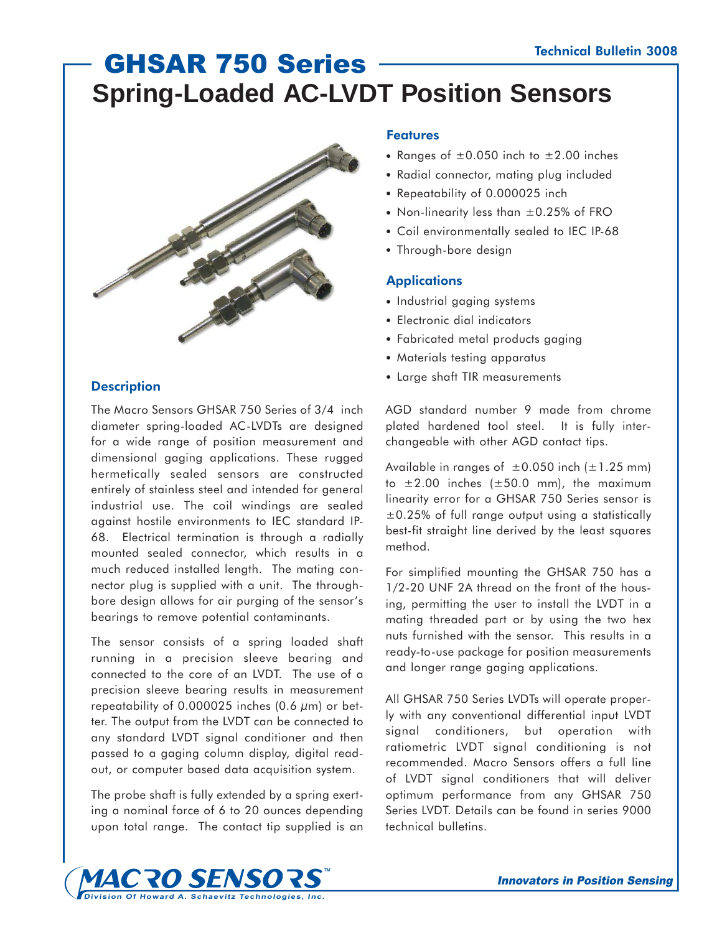# GHSAR 750 Series **Spring-Loaded AC-LVDT Position Sensors**



# **Description**

The Macro Sensors GHSAR 750 Series of 3/4 inch diameter spring-loaded AC-LVDTs are designed for a wide range of position measurement and dimensional gaging applications. These rugged hermetically sealed sensors are constructed entirely of stainless steel and intended for general industrial use. The coil windings are sealed against hostile environments to IEC standard IP-68. Electrical termination is through a radially mounted sealed connector, which results in a much reduced installed length. The mating connector plug is supplied with a unit. The throughbore design allows for air purging of the sensor's bearings to remove potential contaminants.

The sensor consists of a spring loaded shaft running in a precision sleeve bearing and connected to the core of an LVDT. The use of a precision sleeve bearing results in measurement repeatability of  $0.000025$  inches  $(0.6 \mu m)$  or better. The output from the LVDT can be connected to any standard LVDT signal conditioner and then passed to a gaging column display, digital readout, or computer based data acquisition system.

The probe shaft is fully extended by a spring exerting a nominal force of 6 to 20 ounces depending upon total range. The contact tip supplied is an

# **Features**

- Ranges of  $\pm 0.050$  inch to  $\pm 2.00$  inches
- Radial connector, mating plug included
- Repeatability of 0.000025 inch
- Non-linearity less than  $\pm 0.25\%$  of FRO
- Coil environmentally sealed to IEC IP-68
- Through-bore design

### **Applications**

- Industrial gaging systems
- Electronic dial indicators
- Fabricated metal products gaging
- Materials testing apparatus
- Large shaft TIR measurements

AGD standard number 9 made from chrome plated hardened tool steel. It is fully interchangeable with other AGD contact tips.

Available in ranges of  $\pm 0.050$  inch ( $\pm 1.25$  mm) to  $\pm 2.00$  inches ( $\pm 50.0$  mm), the maximum linearity error for a GHSAR 750 Series sensor is  $\pm$ 0.25% of full range output using a statistically best-fit straight line derived by the least squares method.

For simplified mounting the GHSAR 750 has a 1/2-20 UNF 2A thread on the front of the housing, permitting the user to install the LVDT in a mating threaded part or by using the two hex nuts furnished with the sensor. This results in a ready-to-use package for position measurements and longer range gaging applications.

All GHSAR 750 Series LVDTs will operate properly with any conventional differential input LVDT signal conditioners, but operation with ratiometric LVDT signal conditioning is not recommended. Macro Sensors offers a full line of LVDT signal conditioners that will deliver optimum performance from any GHSAR 750 Series LVDT. Details can be found in series 9000 technical bulletins.